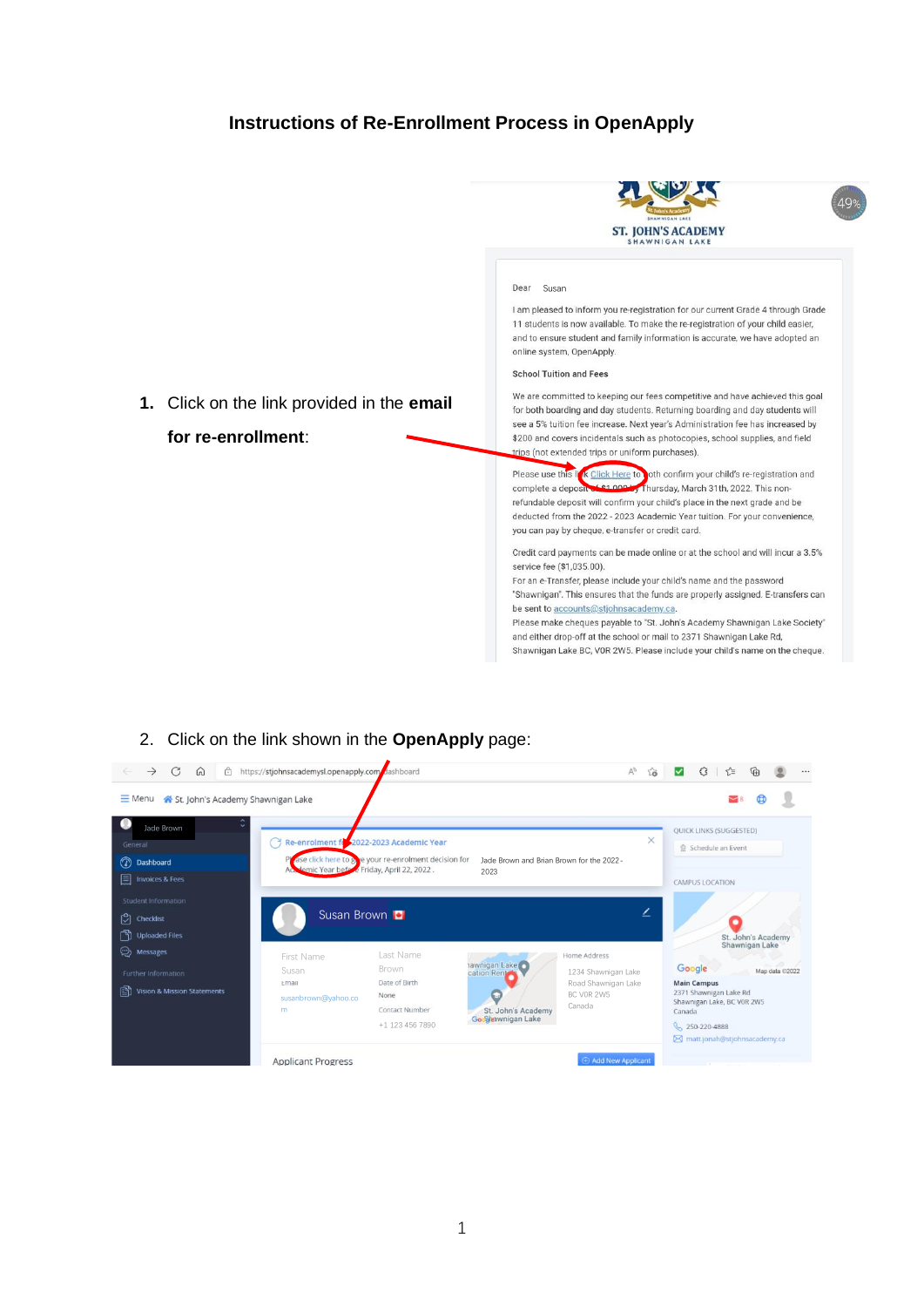## **Instructions of Re-Enrollment Process in OpenApply**



Shawnigan Lake BC, VOR 2W5. Please include your child's name on the cheque.

## 2. Click on the link shown in the **OpenApply** page:

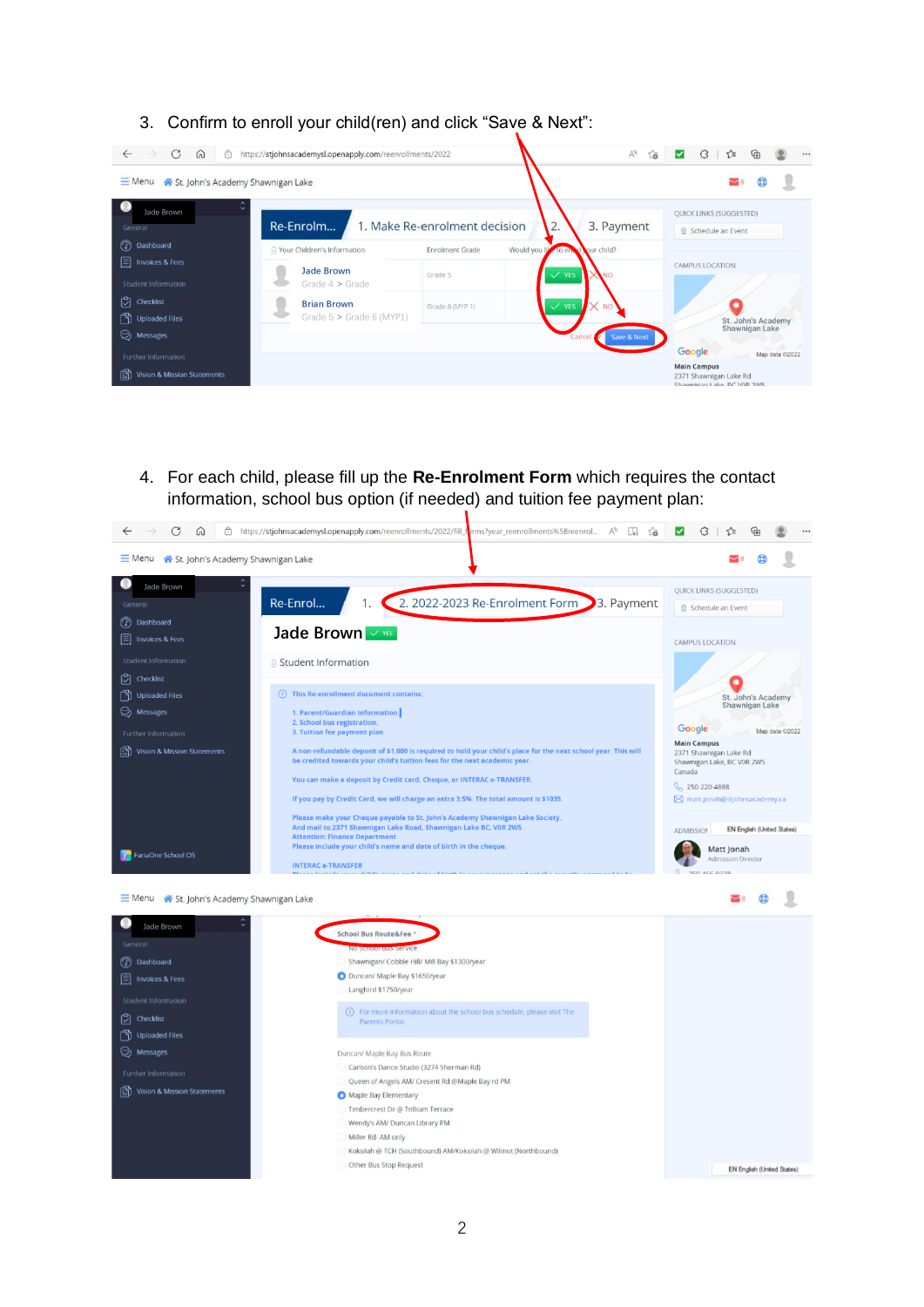3. Confirm to enroll your child(ren) and click "Save & Next":



4. For each child, please fill up the **Re-Enrolment Form** which requires the contact information, school bus option (if needed) and tuition fee payment plan:

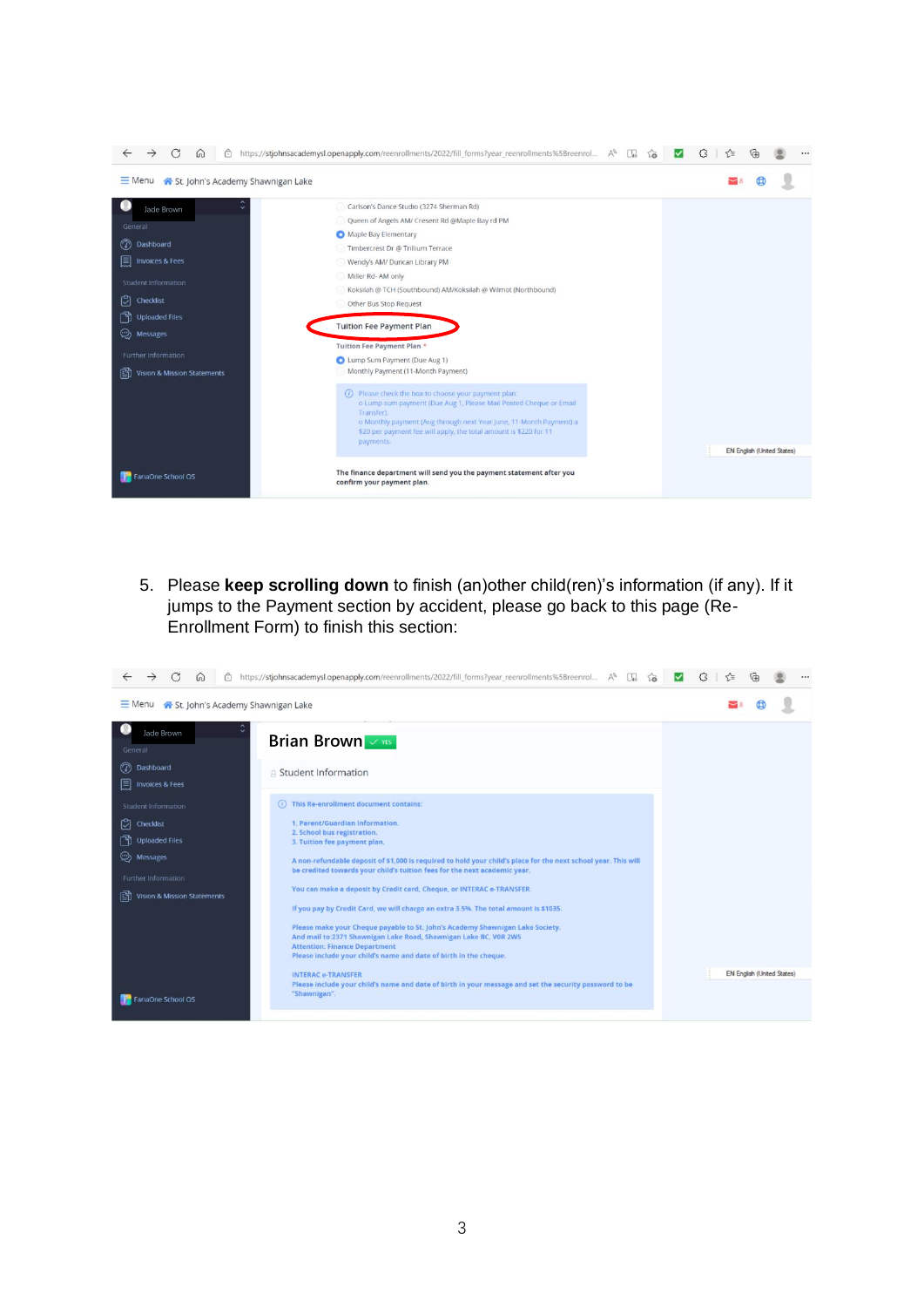

5. Please **keep scrolling down** to finish (an)other child(ren)'s information (if any). If it jumps to the Payment section by accident, please go back to this page (Re-Enrollment Form) to finish this section:

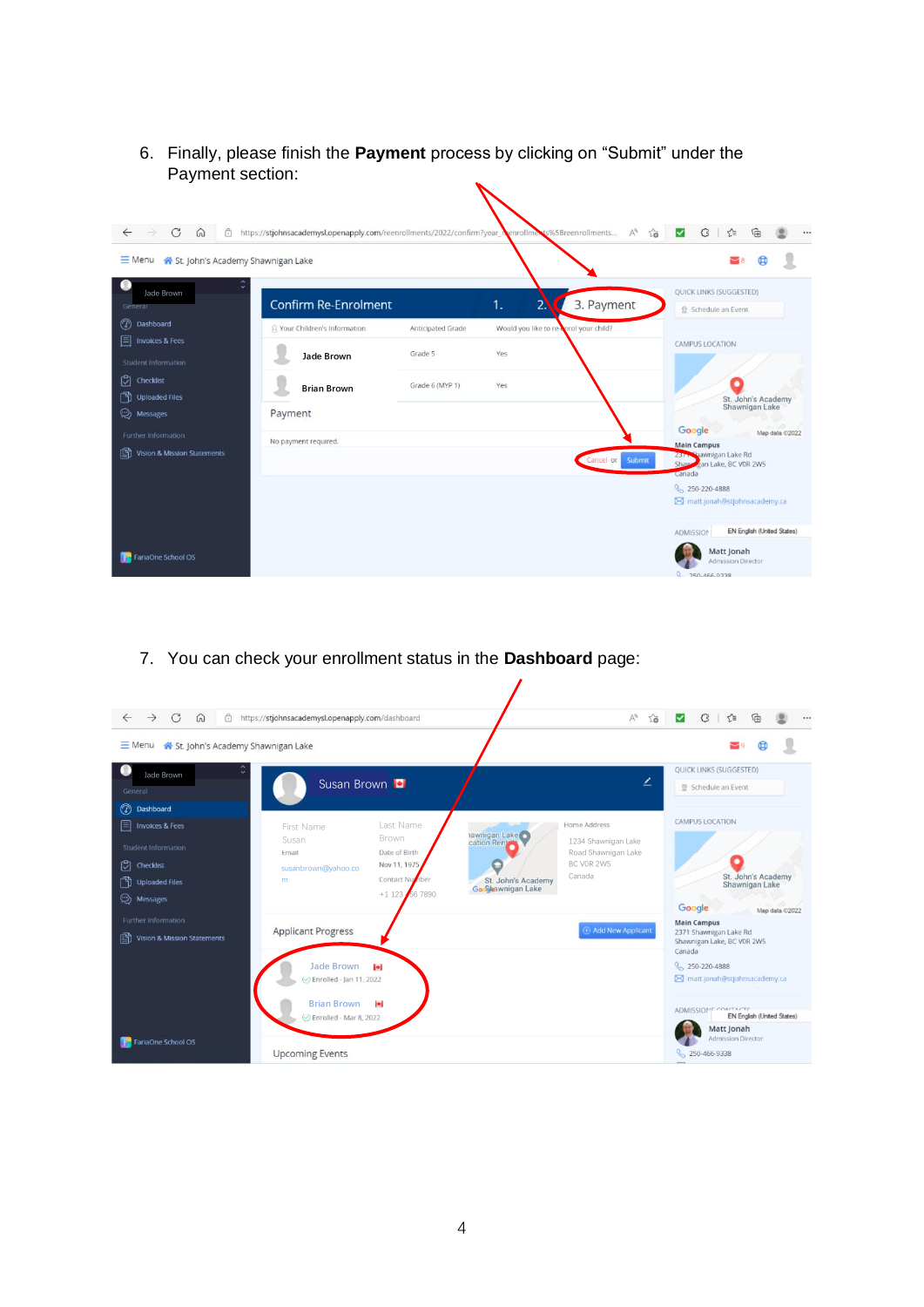6. Finally, please finish the **Payment** process by clicking on "Submit" under the Payment section:



7. You can check your enrollment status in the **Dashboard** page:

| $\rightarrow$<br>$\mathcal{C}$<br>$\Omega$<br>$\leftarrow$                                                                     | https://stjohnsacademysl.openapply.com/dashboard                                                                                                       |                                                                                                                                                        | €<br>$A_{\theta}$<br>55<br>ু≦<br>$\checkmark$                                                                                                                                                               |
|--------------------------------------------------------------------------------------------------------------------------------|--------------------------------------------------------------------------------------------------------------------------------------------------------|--------------------------------------------------------------------------------------------------------------------------------------------------------|-------------------------------------------------------------------------------------------------------------------------------------------------------------------------------------------------------------|
| $\equiv$ Menu<br>St. John's Academy Shawnigan Lake                                                                             |                                                                                                                                                        |                                                                                                                                                        | ◛                                                                                                                                                                                                           |
| o<br>Jade Brown<br>General                                                                                                     | Susan Brown <b>D</b>                                                                                                                                   |                                                                                                                                                        | QUICK LINKS (SUGGESTED)<br>∠<br>Schedule an Event                                                                                                                                                           |
| (2) Dashboard<br>圓<br><b>Invoices &amp; Fees</b><br>Student Information<br>$[$ $]$ Checklist<br>Uploaded Files<br>(D) Messages | Last Name<br>First Name<br>Brown<br>Susan<br>Date of Birth<br>Ernail<br>Nov 11, 1975<br>susanbrown@yahoo.co<br>Contact Number<br>m<br>$+1$ 123 56 7890 | <b>Home Address</b><br>nawnigan Lake<br>1234 Shawnigan Lake<br>Road Shawnigan Lake<br>BC VOR 2W5<br>Canada<br>St. John's Academy<br>Google wnigan Lake | CAMPUS LOCATION<br>St. John's Academy<br>Shawnigan Lake<br>Google<br>Map data @2022                                                                                                                         |
| Further Information<br>Ð<br><b>Vision &amp; Mission Statements</b>                                                             | <b>Applicant Progress</b><br><b>Jade Brown</b><br>ы<br>⊙ Enrolled - Jan 11, 2022<br>٠<br><b>Brian Brown</b><br>⊙ Enrolled - Mar 8, 2022                | Add New Applicant                                                                                                                                      | <b>Main Campus</b><br>2371 Shawnigan Lake Rd<br>Shawnigan Lake, BC VOR 2W5<br>Canada<br><b>Q</b> 250-220-4888<br>M matt.jonah@stjohnsacademy.ca<br><b>ADMISSIONS</b> CONTACTS<br>EN English (United States) |
| <b>FariaOne School OS</b>                                                                                                      | <b>Upcoming Events</b>                                                                                                                                 |                                                                                                                                                        | Matt Jonah<br><b>Admission Director</b><br>S <sub>250-466-9338</sub>                                                                                                                                        |

 $\prime$